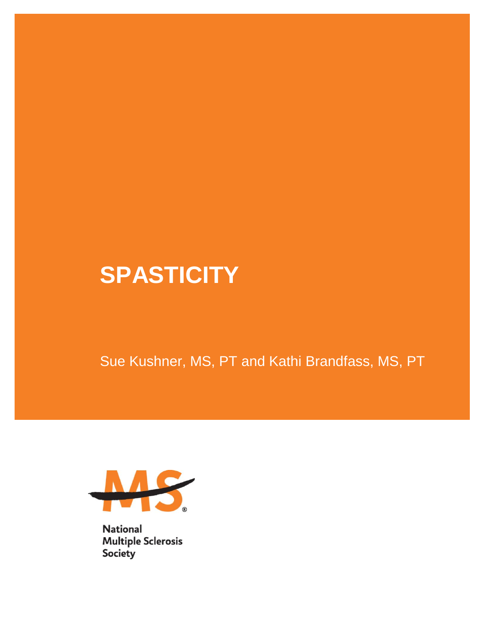# **SPASTICITY**

## Sue Kushner, MS, PT and Kathi Brandfass, MS, PT



**National Multiple Sclerosis** Society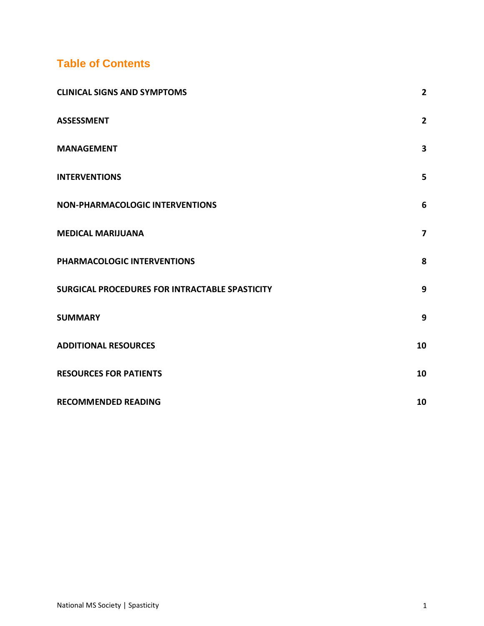### **Table of Contents**

| <b>CLINICAL SIGNS AND SYMPTOMS</b>             | $\overline{2}$          |
|------------------------------------------------|-------------------------|
| <b>ASSESSMENT</b>                              | $\overline{2}$          |
| <b>MANAGEMENT</b>                              | 3                       |
| <b>INTERVENTIONS</b>                           | 5                       |
| <b>NON-PHARMACOLOGIC INTERVENTIONS</b>         | 6                       |
| <b>MEDICAL MARIJUANA</b>                       | $\overline{\mathbf{z}}$ |
| PHARMACOLOGIC INTERVENTIONS                    | 8                       |
| SURGICAL PROCEDURES FOR INTRACTABLE SPASTICITY | 9                       |
| <b>SUMMARY</b>                                 | 9                       |
| <b>ADDITIONAL RESOURCES</b>                    | 10                      |
| <b>RESOURCES FOR PATIENTS</b>                  | 10                      |
| <b>RECOMMENDED READING</b>                     | 10                      |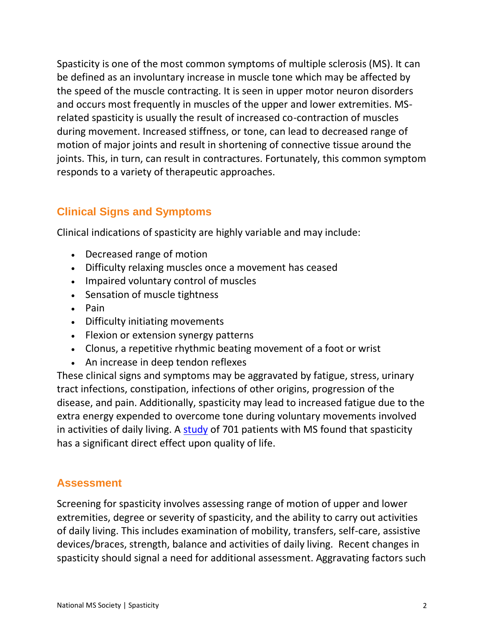Spasticity is one of the most common symptoms of multiple sclerosis (MS). It can be defined as an involuntary increase in muscle tone which may be affected by the speed of the muscle contracting. It is seen in upper motor neuron disorders and occurs most frequently in muscles of the upper and lower extremities. MSrelated spasticity is usually the result of increased co-contraction of muscles during movement. Increased stiffness, or tone, can lead to decreased range of motion of major joints and result in shortening of connective tissue around the joints. This, in turn, can result in contractures. Fortunately, this common symptom responds to a variety of therapeutic approaches.

#### <span id="page-2-0"></span>**Clinical Signs and Symptoms**

Clinical indications of spasticity are highly variable and may include:

- Decreased range of motion
- Difficulty relaxing muscles once a movement has ceased
- Impaired voluntary control of muscles
- Sensation of muscle tightness
- Pain
- Difficulty initiating movements
- Flexion or extension synergy patterns
- Clonus, a repetitive rhythmic beating movement of a foot or wrist
- An increase in deep tendon reflexes

These clinical signs and symptoms may be aggravated by fatigue, stress, urinary tract infections, constipation, infections of other origins, progression of the disease, and pain. Additionally, spasticity may lead to increased fatigue due to the extra energy expended to overcome tone during voluntary movements involved in activities of daily living. A [study](https://www.ncbi.nlm.nih.gov/pubmed/26856941) of 701 patients with MS found that spasticity has a significant direct effect upon quality of life.

#### <span id="page-2-1"></span>**Assessment**

Screening for spasticity involves assessing range of motion of upper and lower extremities, degree or severity of spasticity, and the ability to carry out activities of daily living. This includes examination of mobility, transfers, self-care, assistive devices/braces, strength, balance and activities of daily living. Recent changes in spasticity should signal a need for additional assessment. Aggravating factors such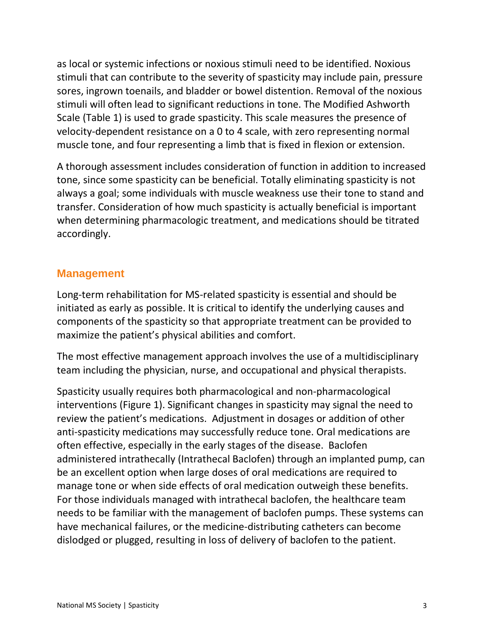as local or systemic infections or noxious stimuli need to be identified. Noxious stimuli that can contribute to the severity of spasticity may include pain, pressure sores, ingrown toenails, and bladder or bowel distention. Removal of the noxious stimuli will often lead to significant reductions in tone. The Modified Ashworth Scale (Table 1) is used to grade spasticity. This scale measures the presence of velocity-dependent resistance on a 0 to 4 scale, with zero representing normal muscle tone, and four representing a limb that is fixed in flexion or extension.

A thorough assessment includes consideration of function in addition to increased tone, since some spasticity can be beneficial. Totally eliminating spasticity is not always a goal; some individuals with muscle weakness use their tone to stand and transfer. Consideration of how much spasticity is actually beneficial is important when determining pharmacologic treatment, and medications should be titrated accordingly.

#### <span id="page-3-0"></span>**Management**

Long-term rehabilitation for MS-related spasticity is essential and should be initiated as early as possible. It is critical to identify the underlying causes and components of the spasticity so that appropriate treatment can be provided to maximize the patient's physical abilities and comfort.

The most effective management approach involves the use of a multidisciplinary team including the physician, nurse, and occupational and physical therapists.

Spasticity usually requires both pharmacological and non-pharmacological interventions (Figure 1). Significant changes in spasticity may signal the need to review the patient's medications. Adjustment in dosages or addition of other anti-spasticity medications may successfully reduce tone. Oral medications are often effective, especially in the early stages of the disease. Baclofen administered intrathecally (Intrathecal Baclofen) through an implanted pump, can be an excellent option when large doses of oral medications are required to manage tone or when side effects of oral medication outweigh these benefits. For those individuals managed with intrathecal baclofen, the healthcare team needs to be familiar with the management of baclofen pumps. These systems can have mechanical failures, or the medicine-distributing catheters can become dislodged or plugged, resulting in loss of delivery of baclofen to the patient.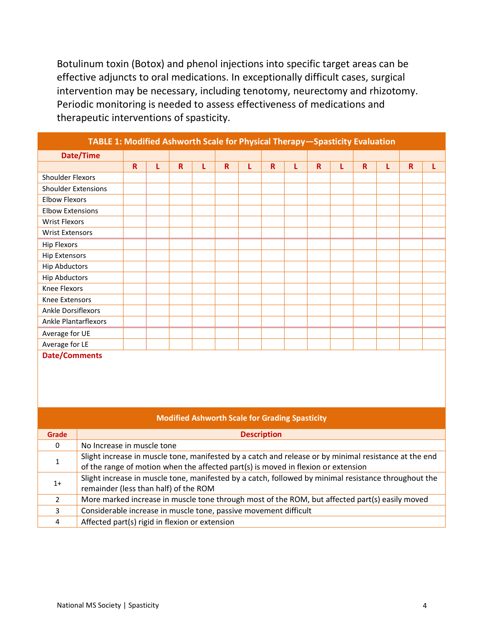Botulinum toxin (Botox) and phenol injections into specific target areas can be effective adjuncts to oral medications. In exceptionally difficult cases, surgical intervention may be necessary, including tenotomy, neurectomy and rhizotomy. Periodic monitoring is needed to assess effectiveness of medications and therapeutic interventions of spasticity.

| TABLE 1: Modified Ashworth Scale for Physical Therapy-Spasticity Evaluation |    |  |                         |   |    |             |   |             |   |   |   |   |  |
|-----------------------------------------------------------------------------|----|--|-------------------------|---|----|-------------|---|-------------|---|---|---|---|--|
| Date/Time                                                                   |    |  |                         |   |    |             |   |             |   |   |   |   |  |
|                                                                             | R. |  | $\overline{\mathsf{R}}$ | L | R. | $\mathbf R$ | L | $\mathbf R$ | L | R | L | R |  |
| Shoulder Flexors                                                            |    |  |                         |   |    |             |   |             |   |   |   |   |  |
| <b>Shoulder Extensions</b>                                                  |    |  |                         |   |    |             |   |             |   |   |   |   |  |
| <b>Elbow Flexors</b>                                                        |    |  |                         |   |    |             |   |             |   |   |   |   |  |
| <b>Elbow Extensions</b>                                                     |    |  |                         |   |    |             |   |             |   |   |   |   |  |
| <b>Wrist Flexors</b>                                                        |    |  |                         |   |    |             |   |             |   |   |   |   |  |
| <b>Wrist Extensors</b>                                                      |    |  |                         |   |    |             |   |             |   |   |   |   |  |
| <b>Hip Flexors</b>                                                          |    |  |                         |   |    |             |   |             |   |   |   |   |  |
| <b>Hip Extensors</b>                                                        |    |  |                         |   |    |             |   |             |   |   |   |   |  |
| <b>Hip Abductors</b>                                                        |    |  |                         |   |    |             |   |             |   |   |   |   |  |
| <b>Hip Abductors</b>                                                        |    |  |                         |   |    |             |   |             |   |   |   |   |  |
| Knee Flexors                                                                |    |  |                         |   |    |             |   |             |   |   |   |   |  |
| Knee Extensors                                                              |    |  |                         |   |    |             |   |             |   |   |   |   |  |
| Ankle Dorsiflexors                                                          |    |  |                         |   |    |             |   |             |   |   |   |   |  |
| <b>Ankle Plantarflexors</b>                                                 |    |  |                         |   |    |             |   |             |   |   |   |   |  |
| Average for UE                                                              |    |  |                         |   |    |             |   |             |   |   |   |   |  |
| Average for LE                                                              |    |  |                         |   |    |             |   |             |   |   |   |   |  |
| $D = L = I C = 1$                                                           |    |  |                         |   |    |             |   |             |   |   |   |   |  |

#### **Date/Comments**

| <b>Modified Ashworth Scale for Grading Spasticity</b> |                                                                                                                                                                                            |  |  |  |  |
|-------------------------------------------------------|--------------------------------------------------------------------------------------------------------------------------------------------------------------------------------------------|--|--|--|--|
| Grade                                                 | <b>Description</b>                                                                                                                                                                         |  |  |  |  |
| 0                                                     | No Increase in muscle tone                                                                                                                                                                 |  |  |  |  |
| 1                                                     | Slight increase in muscle tone, manifested by a catch and release or by minimal resistance at the end<br>of the range of motion when the affected part(s) is moved in flexion or extension |  |  |  |  |
| $1+$                                                  | Slight increase in muscle tone, manifested by a catch, followed by minimal resistance throughout the<br>remainder (less than half) of the ROM                                              |  |  |  |  |
| $\mathcal{P}$                                         | More marked increase in muscle tone through most of the ROM, but affected part(s) easily moved                                                                                             |  |  |  |  |
| 3                                                     | Considerable increase in muscle tone, passive movement difficult                                                                                                                           |  |  |  |  |
| 4                                                     | Affected part(s) rigid in flexion or extension                                                                                                                                             |  |  |  |  |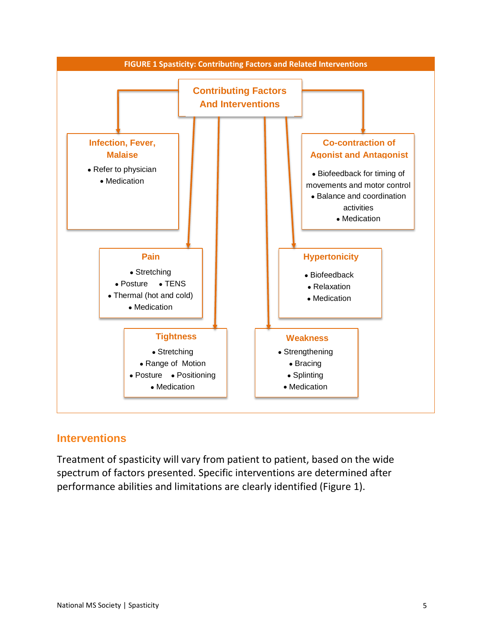

#### <span id="page-5-0"></span>**Interventions**

Treatment of spasticity will vary from patient to patient, based on the wide spectrum of factors presented. Specific interventions are determined after performance abilities and limitations are clearly identified (Figure 1).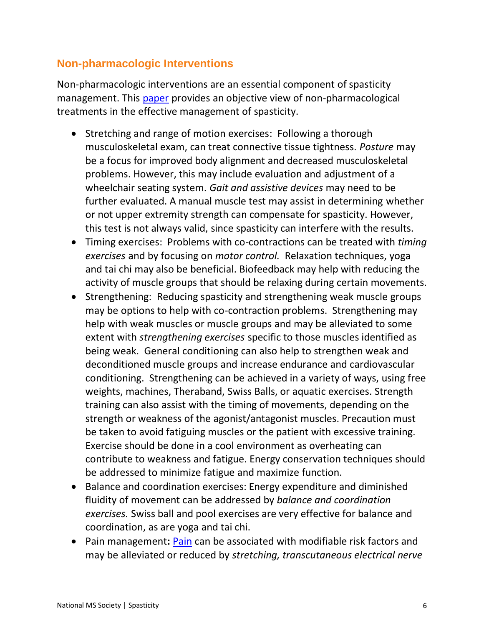#### <span id="page-6-0"></span>**Non-pharmacologic Interventions**

Non-pharmacologic interventions are an essential component of spasticity management. This [paper](https://www.ncbi.nlm.nih.gov/pubmed/28262404) provides an objective view of non-pharmacological treatments in the effective management of spasticity.

- Stretching and range of motion exercises: Following a thorough musculoskeletal exam, can treat connective tissue tightness. *Posture* may be a focus for improved body alignment and decreased musculoskeletal problems. However, this may include evaluation and adjustment of a wheelchair seating system. *Gait and assistive devices* may need to be further evaluated. A manual muscle test may assist in determining whether or not upper extremity strength can compensate for spasticity. However, this test is not always valid, since spasticity can interfere with the results.
- Timing exercises: Problems with co-contractions can be treated with *timing exercises* and by focusing on *motor control.* Relaxation techniques, yoga and tai chi may also be beneficial. Biofeedback may help with reducing the activity of muscle groups that should be relaxing during certain movements.
- Strengthening: Reducing spasticity and strengthening weak muscle groups may be options to help with co-contraction problems. Strengthening may help with weak muscles or muscle groups and may be alleviated to some extent with *strengthening exercises* specific to those muscles identified as being weak. General conditioning can also help to strengthen weak and deconditioned muscle groups and increase endurance and cardiovascular conditioning. Strengthening can be achieved in a variety of ways, using free weights, machines, Theraband, Swiss Balls, or aquatic exercises. Strength training can also assist with the timing of movements, depending on the strength or weakness of the agonist/antagonist muscles. Precaution must be taken to avoid fatiguing muscles or the patient with excessive training. Exercise should be done in a cool environment as overheating can contribute to weakness and fatigue. Energy conservation techniques should be addressed to minimize fatigue and maximize function.
- Balance and coordination exercises: Energy expenditure and diminished fluidity of movement can be addressed by *balance and coordination exercises.* Swiss ball and pool exercises are very effective for balance and coordination, as are yoga and tai chi.
- Pain management**:** [Pain](https://www.ncbi.nlm.nih.gov/pmc/articles/PMC5591834/) can be associated with modifiable risk factors and may be alleviated or reduced by *stretching, transcutaneous electrical nerve*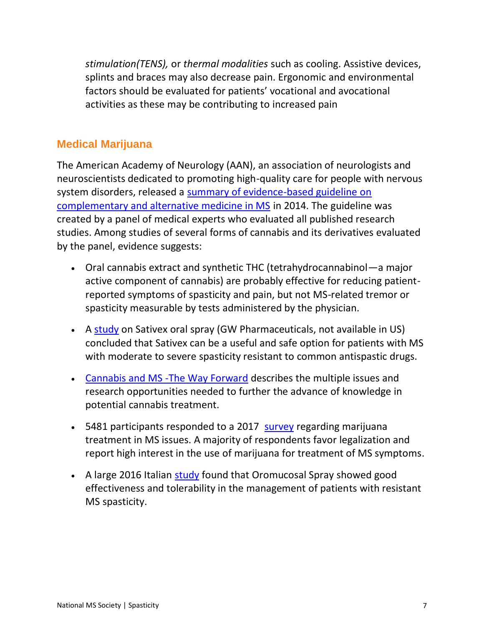*stimulation(TENS),* or *thermal modalities* such as cooling. Assistive devices, splints and braces may also decrease pain. Ergonomic and environmental factors should be evaluated for patients' vocational and avocational activities as these may be contributing to increased pain

#### <span id="page-7-0"></span>**Medical Marijuana**

The American Academy of Neurology (AAN), an association of neurologists and neuroscientists dedicated to promoting high-quality care for people with nervous system disorders, released a [summary of evidence-based guideline on](http://www.nationalmssociety.org/About-the-Society/News/New-Guideline-from-the-American-Academy-of-Neurolo)  [complementary and alternative medicine in MS](http://www.nationalmssociety.org/About-the-Society/News/New-Guideline-from-the-American-Academy-of-Neurolo) in 2014. The guideline was created by a panel of medical experts who evaluated all published research studies. Among studies of several forms of cannabis and its derivatives evaluated by the panel, evidence suggests:

- Oral cannabis extract and synthetic THC (tetrahydrocannabinol—a major active component of cannabis) are probably effective for reducing patientreported symptoms of spasticity and pain, but not MS-related tremor or spasticity measurable by tests administered by the physician.
- A [study](https://www.ncbi.nlm.nih.gov/pubmed/27160523) on Sativex oral spray (GW Pharmaceuticals, not available in US) concluded that Sativex can be a useful and safe option for patients with MS with moderate to severe spasticity resistant to common antispastic drugs.
- [Cannabis and MS -The Way Forward](https://www.ncbi.nlm.nih.gov/pmc/articles/PMC5481305/pdf/fneur-08-00299.pdf) describes the multiple issues and research opportunities needed to further the advance of knowledge in potential cannabis treatment.
- 5481 participants responded to a 2017 [survey](https://www.ncbi.nlm.nih.gov/pubmed/29185555) regarding marijuana treatment in MS issues. A majority of respondents favor legalization and report high interest in the use of marijuana for treatment of MS symptoms.
- A large 2016 Italian [study](https://www.karger.com/Article/Pdf/444236) found that Oromucosal Spray showed good effectiveness and tolerability in the management of patients with resistant MS spasticity.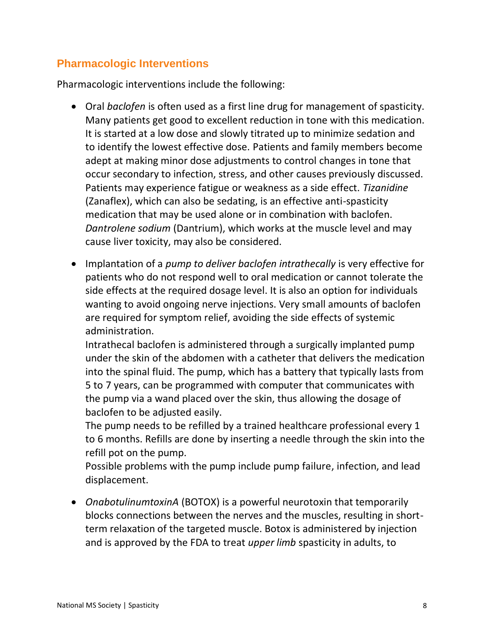#### <span id="page-8-0"></span>**Pharmacologic Interventions**

Pharmacologic interventions include the following:

- Oral *baclofen* is often used as a first line drug for management of spasticity. Many patients get good to excellent reduction in tone with this medication. It is started at a low dose and slowly titrated up to minimize sedation and to identify the lowest effective dose. Patients and family members become adept at making minor dose adjustments to control changes in tone that occur secondary to infection, stress, and other causes previously discussed. Patients may experience fatigue or weakness as a side effect. *Tizanidine*  (Zanaflex), which can also be sedating, is an effective anti-spasticity medication that may be used alone or in combination with baclofen. *Dantrolene sodium* (Dantrium), which works at the muscle level and may cause liver toxicity, may also be considered.
- Implantation of a *pump to deliver baclofen intrathecally* is very effective for patients who do not respond well to oral medication or cannot tolerate the side effects at the required dosage level. It is also an option for individuals wanting to avoid ongoing nerve injections. Very small amounts of baclofen are required for symptom relief, avoiding the side effects of systemic administration.

Intrathecal baclofen is administered through a surgically implanted pump under the skin of the abdomen with a catheter that delivers the medication into the spinal fluid. The pump, which has a battery that typically lasts from 5 to 7 years, can be programmed with computer that communicates with the pump via a wand placed over the skin, thus allowing the dosage of baclofen to be adjusted easily.

The pump needs to be refilled by a trained healthcare professional every 1 to 6 months. Refills are done by inserting a needle through the skin into the refill pot on the pump.

Possible problems with the pump include pump failure, infection, and lead displacement.

• *OnabotulinumtoxinA* (BOTOX) is a powerful neurotoxin that temporarily blocks connections between the nerves and the muscles, resulting in shortterm relaxation of the targeted muscle. Botox is administered by injection and is approved by the FDA to treat *upper limb* spasticity in adults, to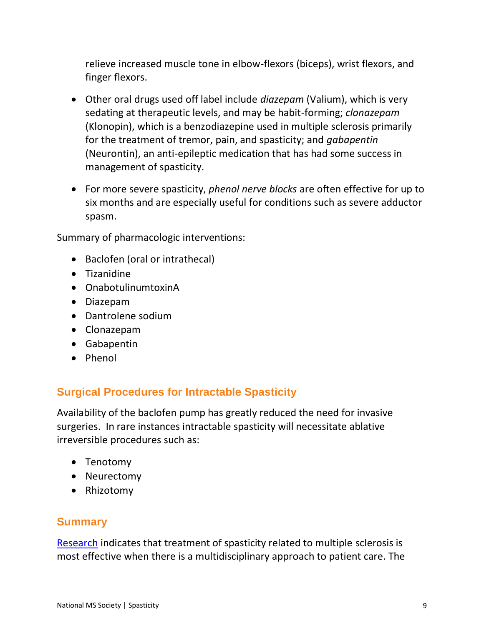relieve increased muscle tone in elbow-flexors (biceps), wrist flexors, and finger flexors.

- Other oral drugs used off label include *diazepam* (Valium), which is very sedating at therapeutic levels, and may be habit-forming; *clonazepam*  (Klonopin), which is a benzodiazepine used in multiple sclerosis primarily for the treatment of tremor, pain, and spasticity; and *gabapentin*  (Neurontin), an anti-epileptic medication that has had some success in management of spasticity.
- For more severe spasticity, *phenol nerve blocks* are often effective for up to six months and are especially useful for conditions such as severe adductor spasm.

Summary of pharmacologic interventions:

- Baclofen (oral or intrathecal)
- Tizanidine
- OnabotulinumtoxinA
- Diazepam
- Dantrolene sodium
- Clonazepam
- Gabapentin
- Phenol

#### <span id="page-9-0"></span>**Surgical Procedures for Intractable Spasticity**

Availability of the baclofen pump has greatly reduced the need for invasive surgeries. In rare instances intractable spasticity will necessitate ablative irreversible procedures such as:

- Tenotomy
- Neurectomy
- Rhizotomy

#### <span id="page-9-1"></span>**Summary**

[Research](https://www.karger.com/Article/Pdf/367620) indicates that treatment of spasticity related to multiple sclerosis is most effective when there is a multidisciplinary approach to patient care. The